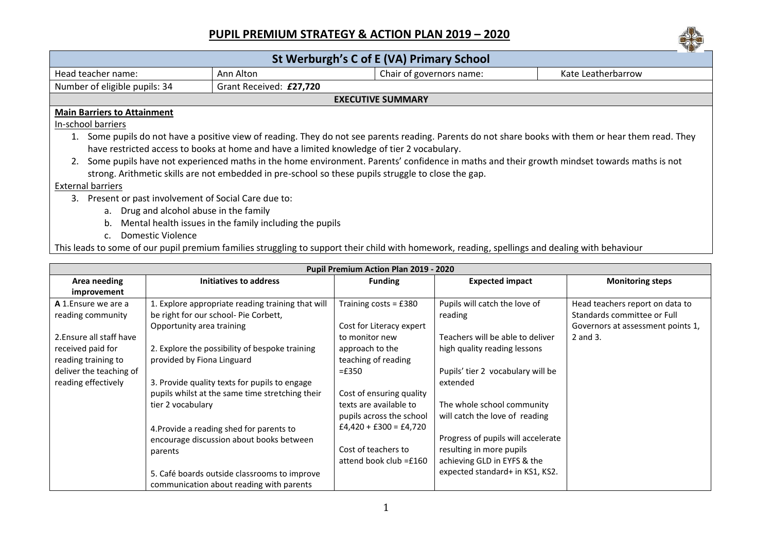## **PUPIL PREMIUM STRATEGY & ACTION PLAN 2019 – 2020**



| St Werburgh's C of E (VA) Primary School                                                                                                                |                                                                                                                                                 |                          |                                  |                                   |  |  |  |  |
|---------------------------------------------------------------------------------------------------------------------------------------------------------|-------------------------------------------------------------------------------------------------------------------------------------------------|--------------------------|----------------------------------|-----------------------------------|--|--|--|--|
| Head teacher name:                                                                                                                                      | Ann Alton                                                                                                                                       |                          | Chair of governors name:         | Kate Leatherbarrow                |  |  |  |  |
| Number of eligible pupils: 34                                                                                                                           | Grant Received: £27,720                                                                                                                         |                          |                                  |                                   |  |  |  |  |
| <b>EXECUTIVE SUMMARY</b>                                                                                                                                |                                                                                                                                                 |                          |                                  |                                   |  |  |  |  |
| <b>Main Barriers to Attainment</b>                                                                                                                      |                                                                                                                                                 |                          |                                  |                                   |  |  |  |  |
| In-school barriers                                                                                                                                      |                                                                                                                                                 |                          |                                  |                                   |  |  |  |  |
| Some pupils do not have a positive view of reading. They do not see parents reading. Parents do not share books with them or hear them read. They<br>1. |                                                                                                                                                 |                          |                                  |                                   |  |  |  |  |
| have restricted access to books at home and have a limited knowledge of tier 2 vocabulary.                                                              |                                                                                                                                                 |                          |                                  |                                   |  |  |  |  |
| Some pupils have not experienced maths in the home environment. Parents' confidence in maths and their growth mindset towards maths is not              |                                                                                                                                                 |                          |                                  |                                   |  |  |  |  |
| strong. Arithmetic skills are not embedded in pre-school so these pupils struggle to close the gap.                                                     |                                                                                                                                                 |                          |                                  |                                   |  |  |  |  |
| <b>External barriers</b>                                                                                                                                |                                                                                                                                                 |                          |                                  |                                   |  |  |  |  |
| Present or past involvement of Social Care due to:<br>3.                                                                                                |                                                                                                                                                 |                          |                                  |                                   |  |  |  |  |
| a. Drug and alcohol abuse in the family                                                                                                                 |                                                                                                                                                 |                          |                                  |                                   |  |  |  |  |
| Mental health issues in the family including the pupils<br>b.                                                                                           |                                                                                                                                                 |                          |                                  |                                   |  |  |  |  |
| C <sub>1</sub>                                                                                                                                          | Domestic Violence                                                                                                                               |                          |                                  |                                   |  |  |  |  |
|                                                                                                                                                         | This leads to some of our pupil premium families struggling to support their child with homework, reading, spellings and dealing with behaviour |                          |                                  |                                   |  |  |  |  |
|                                                                                                                                                         |                                                                                                                                                 |                          |                                  |                                   |  |  |  |  |
| Pupil Premium Action Plan 2019 - 2020                                                                                                                   |                                                                                                                                                 |                          |                                  |                                   |  |  |  |  |
| Area needing                                                                                                                                            | <b>Initiatives to address</b>                                                                                                                   | <b>Funding</b>           | <b>Expected impact</b>           | <b>Monitoring steps</b>           |  |  |  |  |
| improvement                                                                                                                                             |                                                                                                                                                 |                          |                                  |                                   |  |  |  |  |
| A 1. Ensure we are a                                                                                                                                    | 1. Explore appropriate reading training that will                                                                                               | Training costs = £380    | Pupils will catch the love of    | Head teachers report on data to   |  |  |  |  |
| reading community                                                                                                                                       | be right for our school- Pie Corbett,                                                                                                           |                          | reading                          | Standards committee or Full       |  |  |  |  |
|                                                                                                                                                         | Opportunity area training                                                                                                                       | Cost for Literacy expert |                                  | Governors at assessment points 1, |  |  |  |  |
| 2. Ensure all staff have                                                                                                                                |                                                                                                                                                 | to monitor new           | Teachers will be able to deliver | 2 and 3.                          |  |  |  |  |
| received paid for                                                                                                                                       | 2. Explore the possibility of bespoke training                                                                                                  | approach to the          | high quality reading lessons     |                                   |  |  |  |  |

| Area needing             | Initiatives to address                            | <b>Funding</b>           | <b>Expected impact</b>             | <b>Monitoring steps</b>           |
|--------------------------|---------------------------------------------------|--------------------------|------------------------------------|-----------------------------------|
| improvement              |                                                   |                          |                                    |                                   |
| A 1. Ensure we are a     | 1. Explore appropriate reading training that will | Training costs = $£380$  | Pupils will catch the love of      | Head teachers report on data to   |
| reading community        | be right for our school- Pie Corbett,             |                          | reading                            | Standards committee or Full       |
|                          | Opportunity area training                         | Cost for Literacy expert |                                    | Governors at assessment points 1, |
| 2. Ensure all staff have |                                                   | to monitor new           | Teachers will be able to deliver   | 2 and 3.                          |
| received paid for        | 2. Explore the possibility of bespoke training    | approach to the          | high quality reading lessons       |                                   |
| reading training to      | provided by Fiona Linguard                        | teaching of reading      |                                    |                                   |
| deliver the teaching of  |                                                   | $=£350$                  | Pupils' tier 2 vocabulary will be  |                                   |
| reading effectively      | 3. Provide quality texts for pupils to engage     |                          | extended                           |                                   |
|                          | pupils whilst at the same time stretching their   | Cost of ensuring quality |                                    |                                   |
|                          | tier 2 vocabulary                                 | texts are available to   | The whole school community         |                                   |
|                          |                                                   | pupils across the school | will catch the love of reading     |                                   |
|                          | 4. Provide a reading shed for parents to          | $£4,420 + £300 = £4,720$ |                                    |                                   |
|                          | encourage discussion about books between          |                          | Progress of pupils will accelerate |                                   |
|                          | parents                                           | Cost of teachers to      | resulting in more pupils           |                                   |
|                          |                                                   | attend book club =£160   | achieving GLD in EYFS & the        |                                   |
|                          | 5. Café boards outside classrooms to improve      |                          | expected standard+ in KS1, KS2.    |                                   |
|                          | communication about reading with parents          |                          |                                    |                                   |